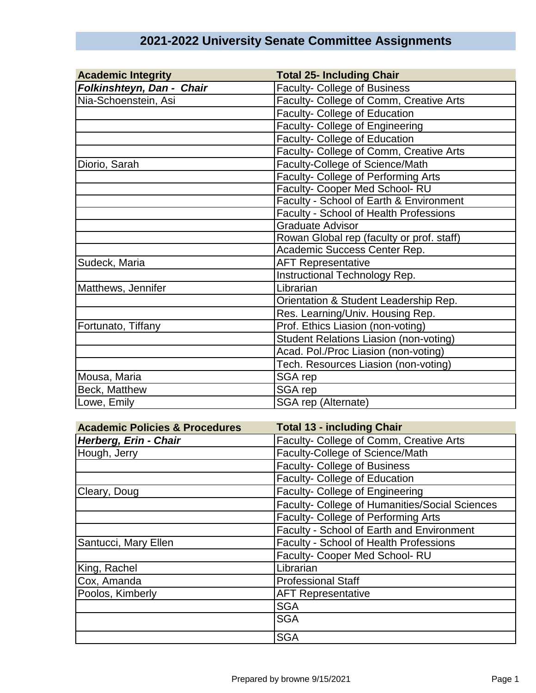| <b>Academic Integrity</b> | <b>Total 25- Including Chair</b>              |
|---------------------------|-----------------------------------------------|
| Folkinshteyn, Dan - Chair | <b>Faculty- College of Business</b>           |
| Nia-Schoenstein, Asi      | Faculty- College of Comm, Creative Arts       |
|                           | Faculty- College of Education                 |
|                           | Faculty- College of Engineering               |
|                           | Faculty- College of Education                 |
|                           | Faculty- College of Comm, Creative Arts       |
| Diorio, Sarah             | Faculty-College of Science/Math               |
|                           | Faculty- College of Performing Arts           |
|                           | Faculty- Cooper Med School-RU                 |
|                           | Faculty - School of Earth & Environment       |
|                           | Faculty - School of Health Professions        |
|                           | <b>Graduate Advisor</b>                       |
|                           | Rowan Global rep (faculty or prof. staff)     |
|                           | Academic Success Center Rep.                  |
| Sudeck, Maria             | <b>AFT Representative</b>                     |
|                           | Instructional Technology Rep.                 |
| Matthews, Jennifer        | Librarian                                     |
|                           | Orientation & Student Leadership Rep.         |
|                           | Res. Learning/Univ. Housing Rep.              |
| Fortunato, Tiffany        | Prof. Ethics Liasion (non-voting)             |
|                           | <b>Student Relations Liasion (non-voting)</b> |
|                           | Acad. Pol./Proc Liasion (non-voting)          |
|                           | Tech. Resources Liasion (non-voting)          |
| Mousa, Maria              | SGA rep                                       |
| Beck, Matthew             | SGA rep                                       |
| Lowe, Emily               | SGA rep (Alternate)                           |

## **2021-2022 University Senate Committee Assignments**

| <b>Academic Policies &amp; Procedures</b> | <b>Total 13 - including Chair</b>              |
|-------------------------------------------|------------------------------------------------|
| Herberg, Erin - Chair                     | Faculty- College of Comm, Creative Arts        |
| Hough, Jerry                              | Faculty-College of Science/Math                |
|                                           | <b>Faculty- College of Business</b>            |
|                                           | Faculty- College of Education                  |
| Cleary, Doug                              | Faculty- College of Engineering                |
|                                           | Faculty- College of Humanities/Social Sciences |
|                                           | Faculty- College of Performing Arts            |
|                                           | Faculty - School of Earth and Environment      |
| Santucci, Mary Ellen                      | Faculty - School of Health Professions         |
|                                           | Faculty- Cooper Med School-RU                  |
| King, Rachel                              | Librarian                                      |
| Cox, Amanda                               | <b>Professional Staff</b>                      |
| Poolos, Kimberly                          | <b>AFT Representative</b>                      |
|                                           | <b>SGA</b>                                     |
|                                           | <b>SGA</b>                                     |
|                                           | <b>SGA</b>                                     |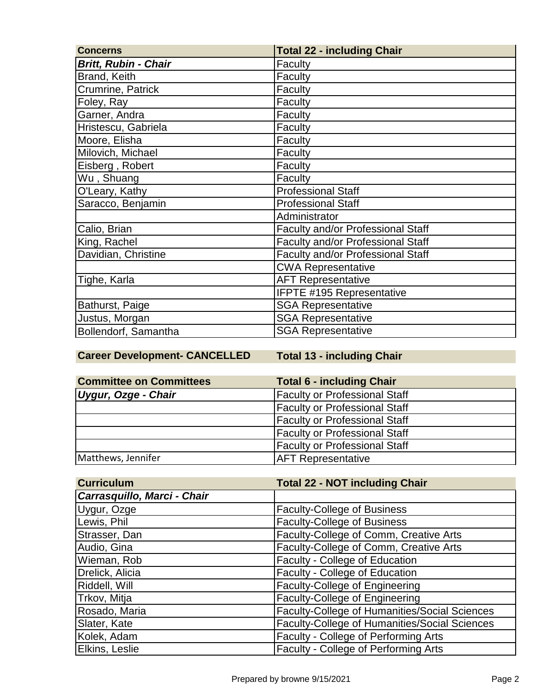| <b>Concerns</b>             | <b>Total 22 - including Chair</b> |
|-----------------------------|-----------------------------------|
| <b>Britt, Rubin - Chair</b> | Faculty                           |
| Brand, Keith                | Faculty                           |
| Crumrine, Patrick           | Faculty                           |
| Foley, Ray                  | Faculty                           |
| Garner, Andra               | Faculty                           |
| Hristescu, Gabriela         | Faculty                           |
| Moore, Elisha               | Faculty                           |
| Milovich, Michael           | Faculty                           |
| Eisberg, Robert             | Faculty                           |
| Wu, Shuang                  | Faculty                           |
| O'Leary, Kathy              | <b>Professional Staff</b>         |
| Saracco, Benjamin           | <b>Professional Staff</b>         |
|                             | Administrator                     |
| Calio, Brian                | Faculty and/or Professional Staff |
| King, Rachel                | Faculty and/or Professional Staff |
| Davidian, Christine         | Faculty and/or Professional Staff |
|                             | <b>CWA Representative</b>         |
| Tighe, Karla                | <b>AFT Representative</b>         |
|                             | IFPTE #195 Representative         |
| Bathurst, Paige             | <b>SGA Representative</b>         |
| Justus, Morgan              | <b>SGA Representative</b>         |
| Bollendorf, Samantha        | <b>SGA Representative</b>         |

**Career Development- CANCELLED Total 13 - including Chair**

| <b>Committee on Committees</b> | <b>Total 6 - including Chair</b>     |
|--------------------------------|--------------------------------------|
| Uygur, Ozge - Chair            | <b>Faculty or Professional Staff</b> |
|                                | <b>Faculty or Professional Staff</b> |
|                                | <b>Faculty or Professional Staff</b> |
|                                | <b>Faculty or Professional Staff</b> |
|                                | <b>Faculty or Professional Staff</b> |
| Matthews, Jennifer             | <b>AFT Representative</b>            |

| <b>Curriculum</b>           | <b>Total 22 - NOT including Chair</b>         |
|-----------------------------|-----------------------------------------------|
| Carrasquillo, Marci - Chair |                                               |
| Uygur, Ozge                 | <b>Faculty-College of Business</b>            |
| Lewis, Phil                 | <b>Faculty-College of Business</b>            |
| Strasser, Dan               | Faculty-College of Comm, Creative Arts        |
| Audio, Gina                 | Faculty-College of Comm, Creative Arts        |
| Wieman, Rob                 | Faculty - College of Education                |
| Drelick, Alicia             | Faculty - College of Education                |
| Riddell, Will               | Faculty-College of Engineering                |
| Trkov, Mitja                | Faculty-College of Engineering                |
| Rosado, Maria               | Faculty-College of Humanities/Social Sciences |
| Slater, Kate                | Faculty-College of Humanities/Social Sciences |
| Kolek, Adam                 | Faculty - College of Performing Arts          |
| Elkins, Leslie              | Faculty - College of Performing Arts          |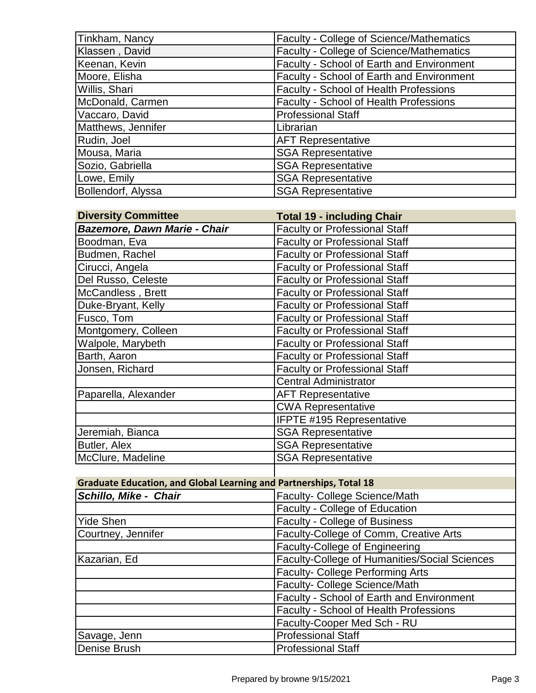| Tinkham, Nancy     | <b>Faculty - College of Science/Mathematics</b>  |
|--------------------|--------------------------------------------------|
| Klassen, David     | Faculty - College of Science/Mathematics         |
| Keenan, Kevin      | <b>Faculty - School of Earth and Environment</b> |
| Moore, Elisha      | <b>Faculty - School of Earth and Environment</b> |
| Willis, Shari      | <b>Faculty - School of Health Professions</b>    |
| McDonald, Carmen   | <b>Faculty - School of Health Professions</b>    |
| Vaccaro, David     | <b>Professional Staff</b>                        |
| Matthews, Jennifer | Librarian                                        |
| Rudin, Joel        | <b>AFT Representative</b>                        |
| Mousa, Maria       | <b>SGA Representative</b>                        |
| Sozio, Gabriella   | <b>SGA Representative</b>                        |
| Lowe, Emily        | <b>SGA Representative</b>                        |
| Bollendorf, Alyssa | <b>SGA Representative</b>                        |

| <b>Diversity Committee</b>          | <b>Total 19 - including Chair</b>    |
|-------------------------------------|--------------------------------------|
| <b>Bazemore, Dawn Marie - Chair</b> | <b>Faculty or Professional Staff</b> |
| Boodman, Eva                        | <b>Faculty or Professional Staff</b> |
| Budmen, Rachel                      | <b>Faculty or Professional Staff</b> |
| Cirucci, Angela                     | <b>Faculty or Professional Staff</b> |
| Del Russo, Celeste                  | <b>Faculty or Professional Staff</b> |
| McCandless, Brett                   | <b>Faculty or Professional Staff</b> |
| Duke-Bryant, Kelly                  | <b>Faculty or Professional Staff</b> |
| Fusco, Tom                          | <b>Faculty or Professional Staff</b> |
| Montgomery, Colleen                 | <b>Faculty or Professional Staff</b> |
| Walpole, Marybeth                   | <b>Faculty or Professional Staff</b> |
| Barth, Aaron                        | <b>Faculty or Professional Staff</b> |
| Jonsen, Richard                     | <b>Faculty or Professional Staff</b> |
|                                     | <b>Central Administrator</b>         |
| Paparella, Alexander                | <b>AFT Representative</b>            |
|                                     | <b>CWA Representative</b>            |
|                                     | <b>IFPTE #195 Representative</b>     |
| Jeremiah, Bianca                    | <b>SGA Representative</b>            |
| Butler, Alex                        | <b>SGA Representative</b>            |
| McClure, Madeline                   | <b>SGA Representative</b>            |
|                                     |                                      |

## **Graduate Education, and Global Learning and Partnerships, Total 18**

| Schillo, Mike - Chair | Faculty- College Science/Math                 |
|-----------------------|-----------------------------------------------|
|                       | Faculty - College of Education                |
| Yide Shen             | Faculty - College of Business                 |
| Courtney, Jennifer    | Faculty-College of Comm, Creative Arts        |
|                       | <b>Faculty-College of Engineering</b>         |
| Kazarian, Ed          | Faculty-College of Humanities/Social Sciences |
|                       | <b>Faculty- College Performing Arts</b>       |
|                       | Faculty- College Science/Math                 |
|                       | Faculty - School of Earth and Environment     |
|                       | Faculty - School of Health Professions        |
|                       | Faculty-Cooper Med Sch - RU                   |
| Savage, Jenn          | <b>Professional Staff</b>                     |
| Denise Brush          | <b>Professional Staff</b>                     |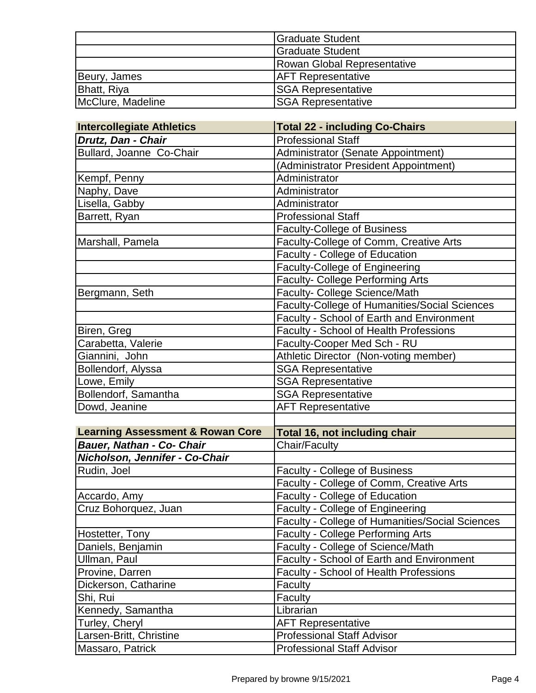|                   | Graduate Student            |
|-------------------|-----------------------------|
|                   | <b>S</b> raduate Student    |
|                   | Rowan Global Representative |
| Beury, James      | <b>AFT Representative</b>   |
| Bhatt, Riya       | <b>SGA Representative</b>   |
| McClure, Madeline | <b>SGA Representative</b>   |

| <b>Intercollegiate Athletics</b>            | <b>Total 22 - including Co-Chairs</b>           |
|---------------------------------------------|-------------------------------------------------|
| Drutz, Dan - Chair                          | <b>Professional Staff</b>                       |
| Bullard, Joanne Co-Chair                    | Administrator (Senate Appointment)              |
|                                             | (Administrator President Appointment)           |
| Kempf, Penny                                | Administrator                                   |
| Naphy, Dave                                 | Administrator                                   |
| Lisella, Gabby                              | Administrator                                   |
| Barrett, Ryan                               | <b>Professional Staff</b>                       |
|                                             | <b>Faculty-College of Business</b>              |
| Marshall, Pamela                            | Faculty-College of Comm, Creative Arts          |
|                                             | Faculty - College of Education                  |
|                                             | <b>Faculty-College of Engineering</b>           |
|                                             | <b>Faculty- College Performing Arts</b>         |
| Bergmann, Seth                              | Faculty- College Science/Math                   |
|                                             | Faculty-College of Humanities/Social Sciences   |
|                                             | Faculty - School of Earth and Environment       |
| Biren, Greg                                 | Faculty - School of Health Professions          |
| Carabetta, Valerie                          | Faculty-Cooper Med Sch - RU                     |
| Giannini, John                              | Athletic Director (Non-voting member)           |
| Bollendorf, Alyssa                          | <b>SGA Representative</b>                       |
| Lowe, Emily                                 | <b>SGA Representative</b>                       |
| Bollendorf, Samantha                        | <b>SGA Representative</b>                       |
| Dowd, Jeanine                               | <b>AFT Representative</b>                       |
|                                             |                                                 |
| <b>Learning Assessment &amp; Rowan Core</b> | Total 16, not including chair                   |
| Bauer, Nathan - Co- Chair                   | Chair/Faculty                                   |
| Nicholson, Jennifer - Co-Chair              |                                                 |
| Rudin, Joel                                 | <b>Faculty - College of Business</b>            |
|                                             | Faculty - College of Comm, Creative Arts        |
| Accardo, Amy                                | <b>Faculty - College of Education</b>           |
| Cruz Bohorquez, Juan                        | <b>Faculty - College of Engineering</b>         |
|                                             | Faculty - College of Humanities/Social Sciences |
| Hostetter, Tony                             | <b>Faculty - College Performing Arts</b>        |
| Daniels, Benjamin                           | Faculty - College of Science/Math               |
| Ullman, Paul                                | Faculty - School of Earth and Environment       |
| Provine, Darren                             | <b>Faculty - School of Health Professions</b>   |
| Dickerson, Catharine                        | Faculty                                         |
| Shi, Rui                                    | Faculty                                         |
| Kennedy, Samantha                           | Librarian                                       |
| Turley, Cheryl                              | <b>AFT Representative</b>                       |
| Larsen-Britt, Christine                     | <b>Professional Staff Advisor</b>               |
| Massaro, Patrick                            | <b>Professional Staff Advisor</b>               |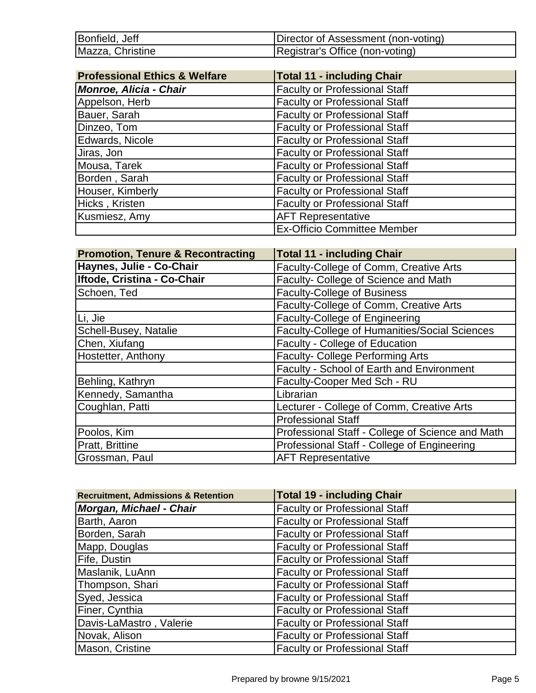| Bonfield, Jeff   | Director of Assessment (non-voting) |
|------------------|-------------------------------------|
| Mazza, Christine | Registrar's Office (non-voting)     |

| <b>Professional Ethics &amp; Welfare</b> | <b>Total 11 - including Chair</b>    |
|------------------------------------------|--------------------------------------|
| <b>Monroe, Alicia - Chair</b>            | <b>Faculty or Professional Staff</b> |
| Appelson, Herb                           | <b>Faculty or Professional Staff</b> |
| Bauer, Sarah                             | <b>Faculty or Professional Staff</b> |
| Dinzeo, Tom                              | <b>Faculty or Professional Staff</b> |
| Edwards, Nicole                          | <b>Faculty or Professional Staff</b> |
| Jiras, Jon                               | <b>Faculty or Professional Staff</b> |
| Mousa, Tarek                             | <b>Faculty or Professional Staff</b> |
| Borden, Sarah                            | <b>Faculty or Professional Staff</b> |
| Houser, Kimberly                         | <b>Faculty or Professional Staff</b> |
| Hicks, Kristen                           | <b>Faculty or Professional Staff</b> |
| Kusmiesz, Amy                            | <b>AFT Representative</b>            |
|                                          | <b>Ex-Officio Committee Member</b>   |

| <b>Promotion, Tenure &amp; Recontracting</b> | <b>Total 11 - including Chair</b>                |
|----------------------------------------------|--------------------------------------------------|
| Haynes, Julie - Co-Chair                     | Faculty-College of Comm, Creative Arts           |
| Iftode, Cristina - Co-Chair                  | Faculty- College of Science and Math             |
| Schoen, Ted                                  | <b>Faculty-College of Business</b>               |
|                                              | Faculty-College of Comm, Creative Arts           |
| Li, Jie                                      | <b>Faculty-College of Engineering</b>            |
| Schell-Busey, Natalie                        | Faculty-College of Humanities/Social Sciences    |
| Chen, Xiufang                                | Faculty - College of Education                   |
| Hostetter, Anthony                           | <b>Faculty- College Performing Arts</b>          |
|                                              | Faculty - School of Earth and Environment        |
| Behling, Kathryn                             | Faculty-Cooper Med Sch - RU                      |
| Kennedy, Samantha                            | Librarian                                        |
| Coughlan, Patti                              | Lecturer - College of Comm, Creative Arts        |
|                                              | <b>Professional Staff</b>                        |
| Poolos, Kim                                  | Professional Staff - College of Science and Math |
| Pratt, Brittine                              | Professional Staff - College of Engineering      |
| Grossman, Paul                               | <b>AFT Representative</b>                        |

| <b>Recruitment, Admissions &amp; Retention</b> | <b>Total 19 - including Chair</b>    |
|------------------------------------------------|--------------------------------------|
| <b>Morgan, Michael - Chair</b>                 | <b>Faculty or Professional Staff</b> |
| Barth, Aaron                                   | <b>Faculty or Professional Staff</b> |
| Borden, Sarah                                  | <b>Faculty or Professional Staff</b> |
| Mapp, Douglas                                  | <b>Faculty or Professional Staff</b> |
| Fife, Dustin                                   | <b>Faculty or Professional Staff</b> |
| Maslanik, LuAnn                                | <b>Faculty or Professional Staff</b> |
| Thompson, Shari                                | <b>Faculty or Professional Staff</b> |
| Syed, Jessica                                  | <b>Faculty or Professional Staff</b> |
| Finer, Cynthia                                 | <b>Faculty or Professional Staff</b> |
| Davis-LaMastro, Valerie                        | <b>Faculty or Professional Staff</b> |
| Novak, Alison                                  | <b>Faculty or Professional Staff</b> |
| Mason, Cristine                                | <b>Faculty or Professional Staff</b> |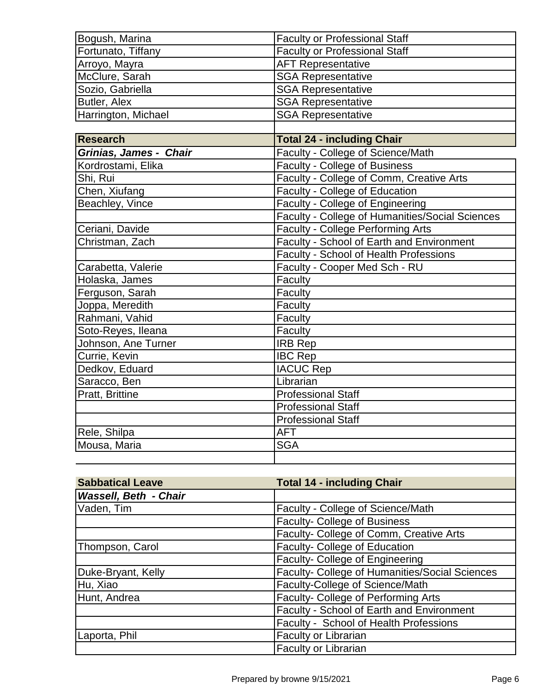| Bogush, Marina         | <b>Faculty or Professional Staff</b>            |
|------------------------|-------------------------------------------------|
| Fortunato, Tiffany     | <b>Faculty or Professional Staff</b>            |
| Arroyo, Mayra          | <b>AFT Representative</b>                       |
| McClure, Sarah         | <b>SGA Representative</b>                       |
| Sozio, Gabriella       | <b>SGA Representative</b>                       |
| Butler, Alex           | <b>SGA Representative</b>                       |
| Harrington, Michael    | <b>SGA Representative</b>                       |
|                        |                                                 |
| <b>Research</b>        | <b>Total 24 - including Chair</b>               |
| Grinias, James - Chair | Faculty - College of Science/Math               |
| Kordrostami, Elika     | Faculty - College of Business                   |
| Shi, Rui               | Faculty - College of Comm, Creative Arts        |
| Chen, Xiufang          | Faculty - College of Education                  |
| Beachley, Vince        | Faculty - College of Engineering                |
|                        | Faculty - College of Humanities/Social Sciences |
| Ceriani, Davide        | <b>Faculty - College Performing Arts</b>        |
| Christman, Zach        | Faculty - School of Earth and Environment       |
|                        | Faculty - School of Health Professions          |
| Carabetta, Valerie     | Faculty - Cooper Med Sch - RU                   |
| Holaska, James         | Faculty                                         |
| Ferguson, Sarah        | Faculty                                         |
| Joppa, Meredith        | Faculty                                         |
| Rahmani, Vahid         | Faculty                                         |
| Soto-Reyes, Ileana     | Faculty                                         |
| Johnson, Ane Turner    | <b>IRB Rep</b>                                  |
| Currie, Kevin          | <b>IBC Rep</b>                                  |
| Dedkov, Eduard         | <b>IACUC Rep</b>                                |
| Saracco, Ben           | Librarian                                       |
| Pratt, Brittine        | <b>Professional Staff</b>                       |
|                        | <b>Professional Staff</b>                       |
|                        | <b>Professional Staff</b>                       |
| Rele, Shilpa           | <b>AFT</b>                                      |
| Mousa, Maria           | <b>SGA</b>                                      |
|                        |                                                 |

| <b>Sabbatical Leave</b>      | <b>Total 14 - including Chair</b>              |
|------------------------------|------------------------------------------------|
| <b>Wassell, Beth - Chair</b> |                                                |
| Vaden, Tim                   | Faculty - College of Science/Math              |
|                              | <b>Faculty- College of Business</b>            |
|                              | Faculty- College of Comm, Creative Arts        |
| Thompson, Carol              | Faculty- College of Education                  |
|                              | Faculty- College of Engineering                |
| Duke-Bryant, Kelly           | Faculty- College of Humanities/Social Sciences |
| Hu, Xiao                     | Faculty-College of Science/Math                |
| Hunt, Andrea                 | Faculty- College of Performing Arts            |
|                              | Faculty - School of Earth and Environment      |
|                              | Faculty - School of Health Professions         |
| Laporta, Phil                | Faculty or Librarian                           |
|                              | Faculty or Librarian                           |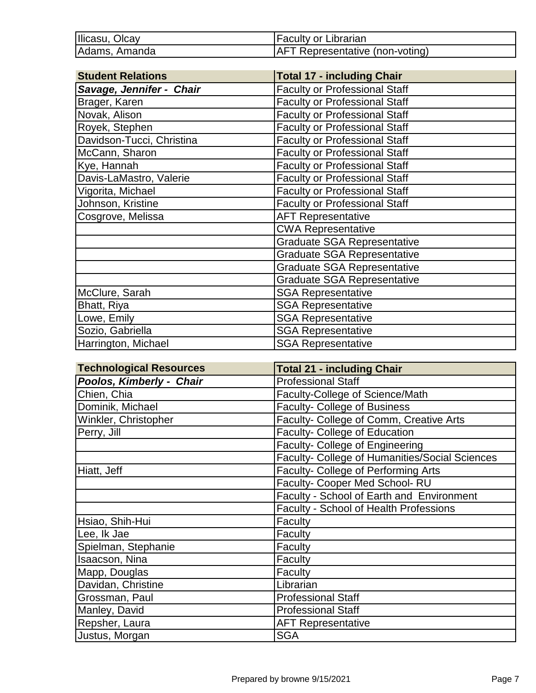| Ilicasu, Olcay | <b>Faculty or Librarian</b>            |
|----------------|----------------------------------------|
| Adams, Amanda  | <b>AFT Representative (non-voting)</b> |

| <b>Student Relations</b>  | <b>Total 17 - including Chair</b>    |
|---------------------------|--------------------------------------|
| Savage, Jennifer - Chair  | <b>Faculty or Professional Staff</b> |
| Brager, Karen             | <b>Faculty or Professional Staff</b> |
| Novak, Alison             | <b>Faculty or Professional Staff</b> |
| Royek, Stephen            | <b>Faculty or Professional Staff</b> |
| Davidson-Tucci, Christina | <b>Faculty or Professional Staff</b> |
| McCann, Sharon            | <b>Faculty or Professional Staff</b> |
| Kye, Hannah               | <b>Faculty or Professional Staff</b> |
| Davis-LaMastro, Valerie   | <b>Faculty or Professional Staff</b> |
| Vigorita, Michael         | <b>Faculty or Professional Staff</b> |
| Johnson, Kristine         | <b>Faculty or Professional Staff</b> |
| Cosgrove, Melissa         | <b>AFT Representative</b>            |
|                           | <b>CWA Representative</b>            |
|                           | <b>Graduate SGA Representative</b>   |
|                           | <b>Graduate SGA Representative</b>   |
|                           | <b>Graduate SGA Representative</b>   |
|                           | <b>Graduate SGA Representative</b>   |
| McClure, Sarah            | <b>SGA Representative</b>            |
| Bhatt, Riya               | <b>SGA Representative</b>            |
| Lowe, Emily               | <b>SGA Representative</b>            |
| Sozio, Gabriella          | <b>SGA Representative</b>            |
| Harrington, Michael       | <b>SGA Representative</b>            |

| <b>Technological Resources</b> | <b>Total 21 - including Chair</b>              |
|--------------------------------|------------------------------------------------|
| Poolos, Kimberly - Chair       | <b>Professional Staff</b>                      |
| Chien, Chia                    | Faculty-College of Science/Math                |
| Dominik, Michael               | <b>Faculty- College of Business</b>            |
| Winkler, Christopher           | Faculty- College of Comm, Creative Arts        |
| Perry, Jill                    | Faculty- College of Education                  |
|                                | <b>Faculty- College of Engineering</b>         |
|                                | Faculty- College of Humanities/Social Sciences |
| Hiatt, Jeff                    | Faculty- College of Performing Arts            |
|                                | Faculty- Cooper Med School-RU                  |
|                                | Faculty - School of Earth and Environment      |
|                                | Faculty - School of Health Professions         |
| Hsiao, Shih-Hui                | Faculty                                        |
| Lee, Ik Jae                    | Faculty                                        |
| Spielman, Stephanie            | Faculty                                        |
| Isaacson, Nina                 | Faculty                                        |
| Mapp, Douglas                  | Faculty                                        |
| Davidan, Christine             | Librarian                                      |
| Grossman, Paul                 | <b>Professional Staff</b>                      |
| Manley, David                  | <b>Professional Staff</b>                      |
| Repsher, Laura                 | <b>AFT Representative</b>                      |
| Justus, Morgan                 | <b>SGA</b>                                     |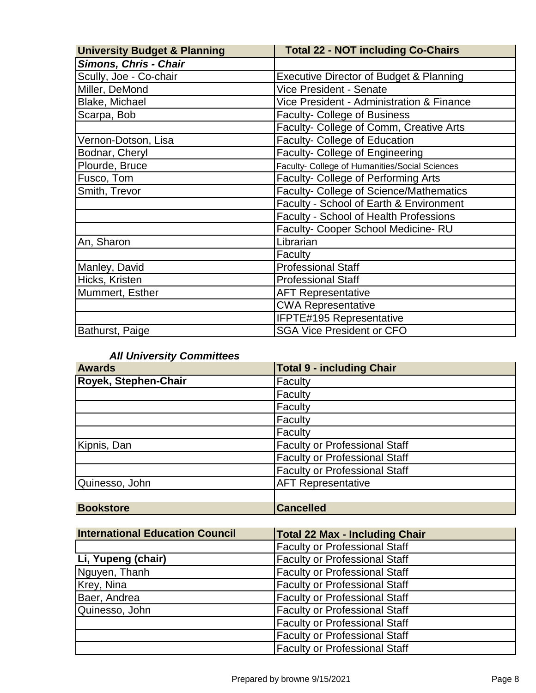| <b>University Budget &amp; Planning</b> | <b>Total 22 - NOT including Co-Chairs</b>      |
|-----------------------------------------|------------------------------------------------|
| <b>Simons, Chris - Chair</b>            |                                                |
| Scully, Joe - Co-chair                  | Executive Director of Budget & Planning        |
| Miller, DeMond                          | <b>Vice President - Senate</b>                 |
| Blake, Michael                          | Vice President - Administration & Finance      |
| Scarpa, Bob                             | <b>Faculty- College of Business</b>            |
|                                         | Faculty- College of Comm, Creative Arts        |
| Vernon-Dotson, Lisa                     | Faculty- College of Education                  |
| Bodnar, Cheryl                          | Faculty- College of Engineering                |
| Plourde, Bruce                          | Faculty- College of Humanities/Social Sciences |
| Fusco, Tom                              | Faculty- College of Performing Arts            |
| Smith, Trevor                           | Faculty- College of Science/Mathematics        |
|                                         | Faculty - School of Earth & Environment        |
|                                         | Faculty - School of Health Professions         |
|                                         | Faculty- Cooper School Medicine-RU             |
| An, Sharon                              | Librarian                                      |
|                                         | Faculty                                        |
| Manley, David                           | <b>Professional Staff</b>                      |
| Hicks, Kristen                          | <b>Professional Staff</b>                      |
| Mummert, Esther                         | <b>AFT Representative</b>                      |
|                                         | <b>CWA Representative</b>                      |
|                                         | IFPTE#195 Representative                       |
| Bathurst, Paige                         | <b>SGA Vice President or CFO</b>               |

## *All University Committees*

| <b>Awards</b>        | <b>Total 9 - including Chair</b>     |
|----------------------|--------------------------------------|
| Royek, Stephen-Chair | Faculty                              |
|                      | Faculty                              |
|                      | Faculty                              |
|                      | Faculty                              |
|                      | Faculty                              |
| Kipnis, Dan          | <b>Faculty or Professional Staff</b> |
|                      | <b>Faculty or Professional Staff</b> |
|                      | <b>Faculty or Professional Staff</b> |
| Quinesso, John       | <b>AFT Representative</b>            |
|                      |                                      |
| <b>Bookstore</b>     | <b>Cancelled</b>                     |

| <b>International Education Council</b> | <b>Total 22 Max - Including Chair</b> |
|----------------------------------------|---------------------------------------|
|                                        | <b>Faculty or Professional Staff</b>  |
| Li, Yupeng (chair)                     | <b>Faculty or Professional Staff</b>  |
| Nguyen, Thanh                          | <b>Faculty or Professional Staff</b>  |
| Krey, Nina                             | <b>Faculty or Professional Staff</b>  |
| Baer, Andrea                           | <b>Faculty or Professional Staff</b>  |
| Quinesso, John                         | <b>Faculty or Professional Staff</b>  |
|                                        | <b>Faculty or Professional Staff</b>  |
|                                        | <b>Faculty or Professional Staff</b>  |
|                                        | <b>Faculty or Professional Staff</b>  |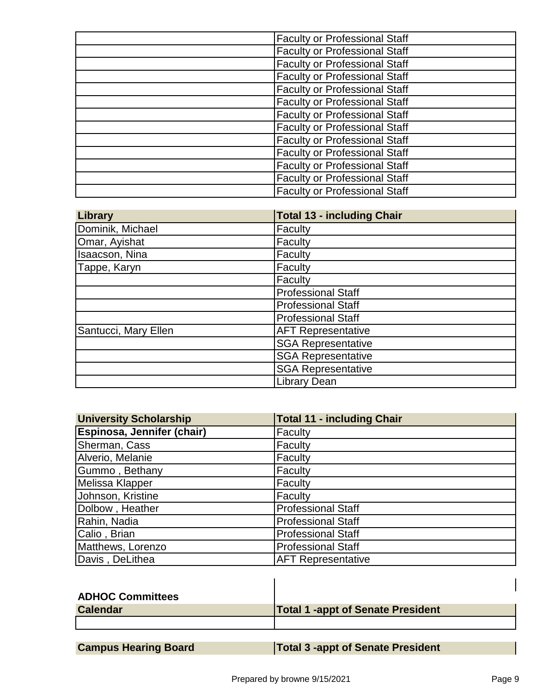| <b>Faculty or Professional Staff</b> |
|--------------------------------------|
| <b>Faculty or Professional Staff</b> |
| <b>Faculty or Professional Staff</b> |
| <b>Faculty or Professional Staff</b> |
| <b>Faculty or Professional Staff</b> |
| <b>Faculty or Professional Staff</b> |
| <b>Faculty or Professional Staff</b> |
| <b>Faculty or Professional Staff</b> |
| <b>Faculty or Professional Staff</b> |
| <b>Faculty or Professional Staff</b> |
| <b>Faculty or Professional Staff</b> |
| <b>Faculty or Professional Staff</b> |
| <b>Faculty or Professional Staff</b> |

| Library              | <b>Total 13 - including Chair</b> |
|----------------------|-----------------------------------|
| Dominik, Michael     | Faculty                           |
| Omar, Ayishat        | Faculty                           |
| Isaacson, Nina       | Faculty                           |
| Tappe, Karyn         | Faculty                           |
|                      | Faculty                           |
|                      | <b>Professional Staff</b>         |
|                      | <b>Professional Staff</b>         |
|                      | <b>Professional Staff</b>         |
| Santucci, Mary Ellen | <b>AFT Representative</b>         |
|                      | <b>SGA Representative</b>         |
|                      | <b>SGA Representative</b>         |
|                      | <b>SGA Representative</b>         |
|                      | Library Dean                      |

| <b>University Scholarship</b> | <b>Total 11 - including Chair</b> |
|-------------------------------|-----------------------------------|
| Espinosa, Jennifer (chair)    | Faculty                           |
| Sherman, Cass                 | Faculty                           |
| Alverio, Melanie              | Faculty                           |
| Gummo, Bethany                | Faculty                           |
| Melissa Klapper               | Faculty                           |
| Johnson, Kristine             | Faculty                           |
| Dolbow, Heather               | <b>Professional Staff</b>         |
| Rahin, Nadia                  | <b>Professional Staff</b>         |
| Calio, Brian                  | <b>Professional Staff</b>         |
| Matthews, Lorenzo             | <b>Professional Staff</b>         |
| Davis, DeLithea               | <b>AFT Representative</b>         |

| <b>ADHOC Committees</b> |                                          |
|-------------------------|------------------------------------------|
| <b>Calendar</b>         | <b>Total 1 -appt of Senate President</b> |
|                         |                                          |

| <b>Campus Hearing Board</b> |  |  |
|-----------------------------|--|--|
|-----------------------------|--|--|

**Total 3 -appt of Senate President** 

 $\blacksquare$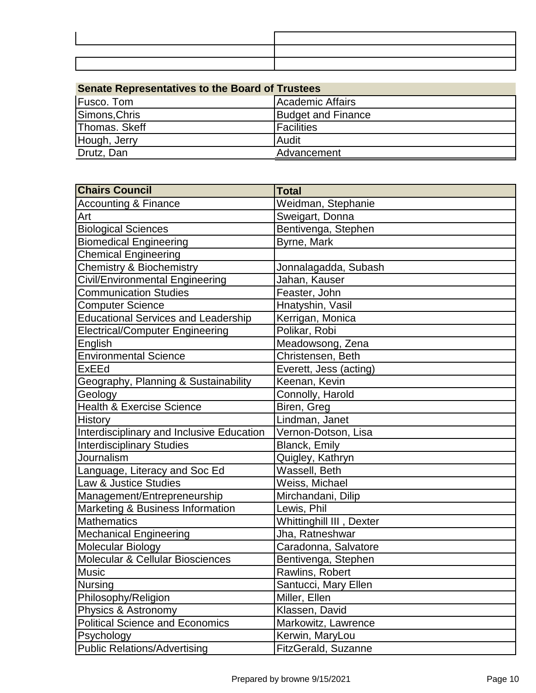| <b>Senate Representatives to the Board of Trustees</b> |                           |
|--------------------------------------------------------|---------------------------|
| <b>Fusco.</b> Tom                                      | Academic Affairs          |
| Simons, Chris                                          | <b>Budget and Finance</b> |
| Thomas. Skeff                                          | <b>Facilities</b>         |
| Hough, Jerry                                           | Audit                     |
| Drutz, Dan                                             | Advancement               |

| <b>Chairs Council</b>                       | <b>Total</b>             |
|---------------------------------------------|--------------------------|
| <b>Accounting &amp; Finance</b>             | Weidman, Stephanie       |
| Art                                         | Sweigart, Donna          |
| <b>Biological Sciences</b>                  | Bentivenga, Stephen      |
| <b>Biomedical Engineering</b>               | Byrne, Mark              |
| <b>Chemical Engineering</b>                 |                          |
| <b>Chemistry &amp; Biochemistry</b>         | Jonnalagadda, Subash     |
| <b>Civil/Environmental Engineering</b>      | Jahan, Kauser            |
| <b>Communication Studies</b>                | Feaster, John            |
| <b>Computer Science</b>                     | Hnatyshin, Vasil         |
| <b>Educational Services and Leadership</b>  | Kerrigan, Monica         |
| <b>Electrical/Computer Engineering</b>      | Polikar, Robi            |
| English                                     | Meadowsong, Zena         |
| <b>Environmental Science</b>                | Christensen, Beth        |
| <b>ExEEd</b>                                | Everett, Jess (acting)   |
| Geography, Planning & Sustainability        | Keenan, Kevin            |
| Geology                                     | Connolly, Harold         |
| <b>Health &amp; Exercise Science</b>        | Biren, Greg              |
| <b>History</b>                              | Lindman, Janet           |
| Interdisciplinary and Inclusive Education   | Vernon-Dotson, Lisa      |
| <b>Interdisciplinary Studies</b>            | <b>Blanck, Emily</b>     |
| Journalism                                  | Quigley, Kathryn         |
| Language, Literacy and Soc Ed               | Wassell, Beth            |
| Law & Justice Studies                       | Weiss, Michael           |
| Management/Entrepreneurship                 | Mirchandani, Dilip       |
| Marketing & Business Information            | Lewis, Phil              |
| <b>Mathematics</b>                          | Whittinghill III, Dexter |
| <b>Mechanical Engineering</b>               | Jha, Ratneshwar          |
| <b>Molecular Biology</b>                    | Caradonna, Salvatore     |
| <b>Molecular &amp; Cellular Biosciences</b> | Bentivenga, Stephen      |
| <b>Music</b>                                | Rawlins, Robert          |
| <b>Nursing</b>                              | Santucci, Mary Ellen     |
| Philosophy/Religion                         | Miller, Ellen            |
| Physics & Astronomy                         | Klassen, David           |
| <b>Political Science and Economics</b>      | Markowitz, Lawrence      |
| Psychology                                  | Kerwin, MaryLou          |
| <b>Public Relations/Advertising</b>         | FitzGerald, Suzanne      |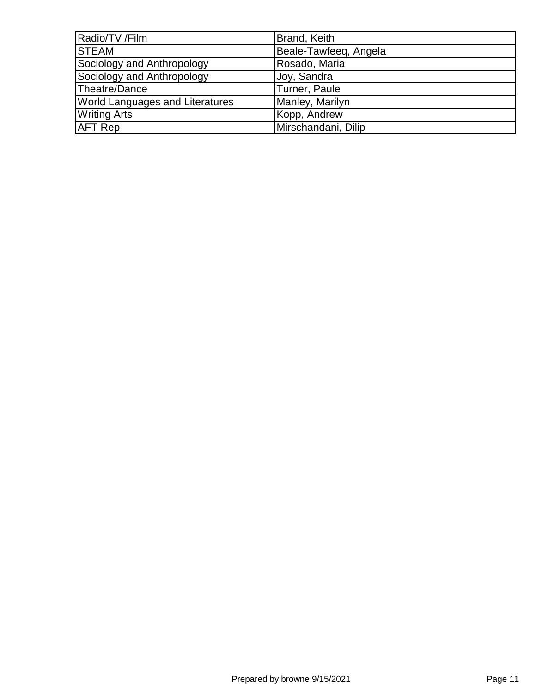| Radio/TV /Film                         | Brand, Keith          |
|----------------------------------------|-----------------------|
| <b>STEAM</b>                           | Beale-Tawfeeg, Angela |
| Sociology and Anthropology             | Rosado, Maria         |
| Sociology and Anthropology             | Joy, Sandra           |
| Theatre/Dance                          | Turner, Paule         |
| <b>World Languages and Literatures</b> | Manley, Marilyn       |
| <b>Writing Arts</b>                    | Kopp, Andrew          |
| <b>AFT Rep</b>                         | Mirschandani, Dilip   |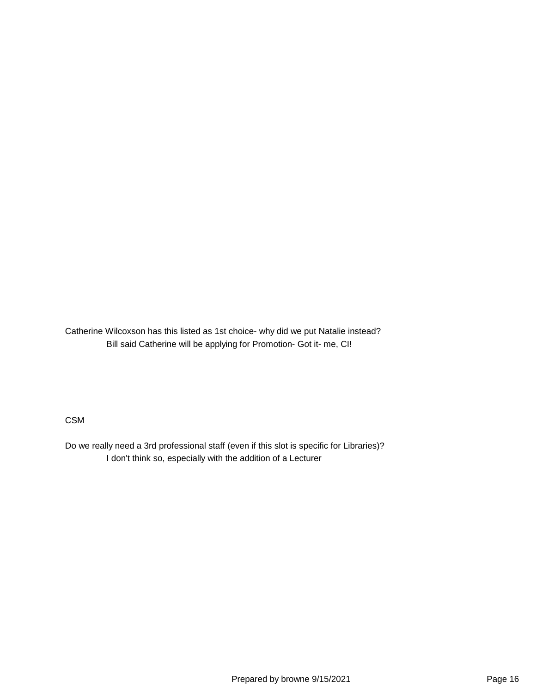Catherine Wilcoxson has this listed as 1st choice- why did we put Natalie instead? Bill said Catherine will be applying for Promotion- Got it- me, CI!

CSM

Do we really need a 3rd professional staff (even if this slot is specific for Libraries)? I don't think so, especially with the addition of a Lecturer